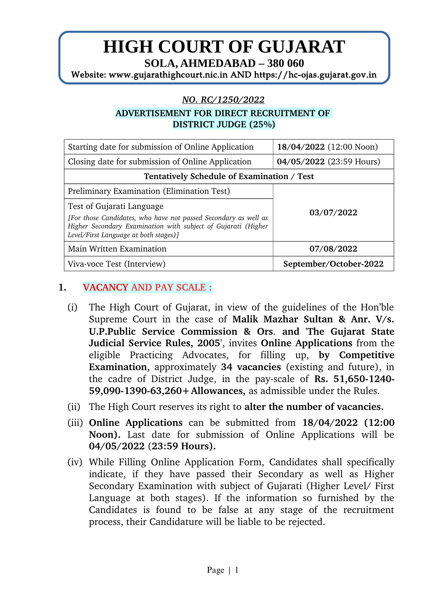# **HIGH COURT OF GUJARAT**

**SOLA, AHMEDABAD – 380 060**

Website: www.gujarathighcourt.nic.in AND https://hc-ojas.gujarat.gov.in

#### *NO.RC/1250/2022*

#### **ADVERTISEMENT FOR DIRECT RECRUITMENT OF DISTRICT JUDGE (25%)**

| Starting date for submission of Online Application                                                                                                                        | 18/04/2022 (12:00 Noon)  |  |  |  |  |
|---------------------------------------------------------------------------------------------------------------------------------------------------------------------------|--------------------------|--|--|--|--|
| Closing date for submission of Online Application                                                                                                                         | 04/05/2022 (23:59 Hours) |  |  |  |  |
| Tentatively Schedule of Examination / Test                                                                                                                                |                          |  |  |  |  |
| Preliminary Examination (Elimination Test)                                                                                                                                |                          |  |  |  |  |
| Test of Gujarati Language                                                                                                                                                 | 03/07/2022               |  |  |  |  |
| [For those Candidates, who have not passed Secondary as well as<br>Higher Secondary Examination with subject of Gujarati (Higher<br>Level/First Language at both stages)] |                          |  |  |  |  |
| <b>Main Written Examination</b>                                                                                                                                           | 07/08/2022               |  |  |  |  |
| Viva-voce Test (Interview)                                                                                                                                                | September/October-2022   |  |  |  |  |

## **1. VACANCY AND PAY SCALE :**

- (i) The High Court of Gujarat, in view of the guidelines of the Hon'ble Supreme Court in the case of **Malik Mazhar Sultan & Anr. V/s. U.P.Public Service Commission & Ors***.* **and 'The Gujarat State Judicial Service Rules, 2005'**, invites **Online Applications** from the eligible Practicing Advocates, for filling up, **by Competitive Examination,** approximately 34 vacancies (existing and future), in the cadre of District Judge, in the pay-scale of **Rs. 51,650-1240-59,090-1390-63,260+Allowances,** as admissible under the Rules.
- (ii) The High Court reserves its right to **alter the number of vacancies.**
- (iii) **Online Applications** can be submitted from **18/04/2022 (12:00** Noon). Last date for submission of Online Applications will be **04/05/2022** (**23:59 Hours).**
- (iv) While Filling Online Application Form, Candidates shall specifically indicate, if they have passed their Secondary as well as Higher Secondary Examination with subject of Gujarati (Higher Level/ First Language at both stages). If the information so furnished by the Candidates is found to be false at any stage of the recruitment process, their Candidature will be liable to be rejected.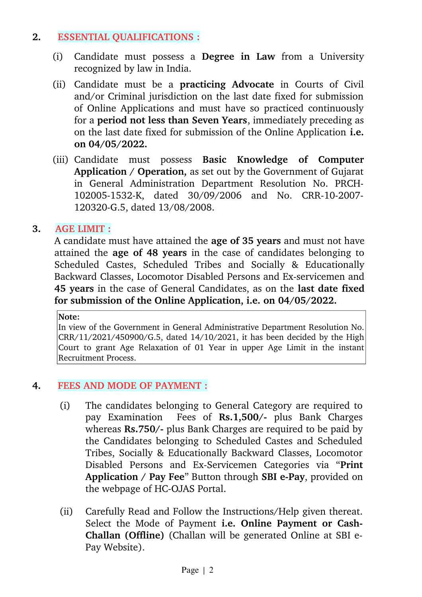#### **2. ESSENTIAL QUALIFICATIONS :**

- (i) Candidate must possess a **Degree in Law** from a University recognized by law in India.
- (ii) Candidate must be a **practicing Advocate** in Courts of Civil and/or Criminal jurisdiction on the last date fixed for submission of Online Applications and must have so practiced continuously for a **period not less than Seven Years**, immediately preceding as on the last date fixed for submission of the Online Application **i.e. on 04/05/2022.**
- (iii) Candidate must possess **Basic Knowledge of Computer Application / Operation,** as set out by the Government of Gujarat in General Administration Department Resolution No. PRCH-102005-1532-K, dated 30/09/2006 and No. CRR-10-2007-120320-G.5, dated 13/08/2008.

# **3. AGE LIMIT :**

A candidate must have attained the **age of 35 years** and must not have attained the **age of 48 years** in the case of candidates belonging to Scheduled Castes, Scheduled Tribes and Socially & Educationally Backward Classes, Locomotor Disabled Persons and Ex-servicemen and **45 years** in the case of General Candidates, as on the **last date fixed for submission of the Online Application, i.e. on 04/05/2022.**

#### **Note:**

In view of the Government in General Administrative Department Resolution No. CRR/11/2021/450900/G.5, dated 14/10/2021, it has been decided by the High Court to grant Age Relaxation of 01 Year in upper Age Limit in the instant Recruitment Process.

#### **4. FEES AND MODE OF PAYMENT :**

- (i) The candidates belonging to General Category are required to pay Examination Fees of **Rs.1,500/** plus Bank Charges whereas **Rs.750/-** plus Bank Charges are required to be paid by the Candidates belonging to Scheduled Castes and Scheduled Tribes, Socially & Educationally Backward Classes, Locomotor Disabled Persons and Ex-Servicemen Categories via "Print Application / Pay Fee" Button through SBI e-Pay, provided on the webpage of HC-OJAS Portal.
- (ii) Carefully Read and Follow the Instructions/Help given thereat. Select the Mode of Payment **i.e. Online Payment or Cash-Challan (Offline)** (Challan will be generated Online at SBI e-Pay Website).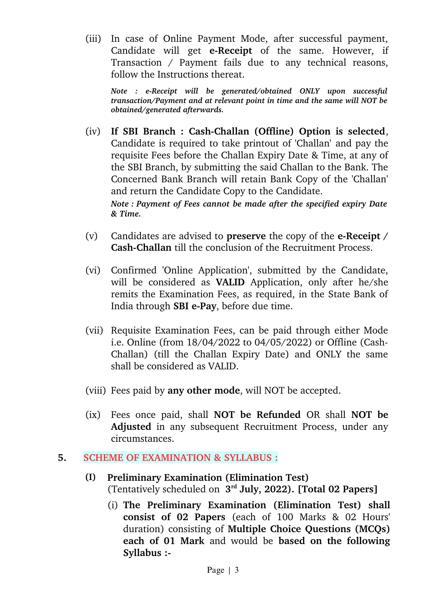(iii) In case of Online Payment Mode, after successful payment, Candidate will get **e-Receipt** of the same. However, if Transaction / Payment fails due to any technical reasons, follow the Instructions thereat.

*Note : eReceipt will be generated/obtained ONLY upon successful transaction/Payment and at relevant point in time and the same will NOT be obtained/generated afterwards.*

- (iv) If SBI Branch: Cash-Challan (Offline) Option is selected, Candidate is required to take printout of 'Challan' and pay the requisite Fees before the Challan Expiry Date & Time, at any of the SBI Branch, by submitting the said Challan to the Bank. The Concerned Bank Branch will retain Bank Copy of the 'Challan' and return the Candidate Copy to the Candidate. *Note : Payment of Fees cannot be made after the specified expiry Date*
- (v) Candidates are advised to **preserve** the copy of the **e-Receipt** / **Cash-Challan** till the conclusion of the Recruitment Process.
- (vi) Confirmed 'Online Application', submitted by the Candidate, will be considered as **VALID** Application, only after he/she remits the Examination Fees, as required, in the State Bank of India through **SBI e-Pay**, before due time.
- (vii) Requisite Examination Fees, can be paid through either Mode i.e. Online (from 18/04/2022 to 04/05/2022) or Offline (Cash-Challan) (till the Challan Expiry Date) and ONLY the same shall be considered as VALID.
- (viii) Fees paid by **any other mode**, will NOT be accepted.
- (ix) Fees once paid, shall **NOT be Refunded** OR shall **NOT be** Adjusted in any subsequent Recruitment Process, under any circumstances.

# **5. SCHEME OF EXAMINATION & SYLLABUS :**

*& Time.*

- **(I) Preliminary Examination (Elimination Test)** (Tentatively scheduled on **3 rd July, 2022). [Total 02 Papers]**
	- (i) **The Preliminary Examination (Elimination Test) shall consist of 02 Papers** (each of 100 Marks & 02 Hours' duration) consisting of **Multiple Choice Questions (MCQs) each of 01 Mark** and would be **based on the following Syllabus :**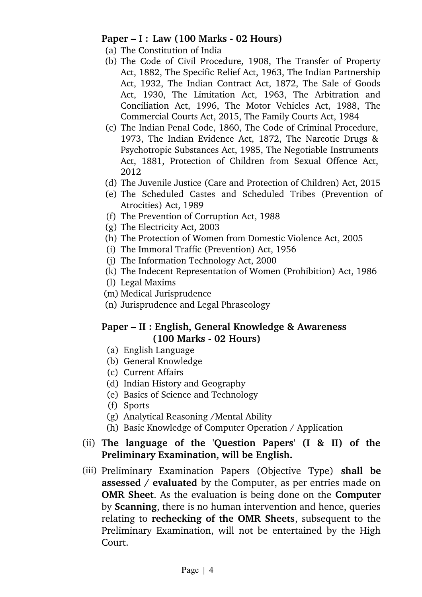## **Paper – I : Law (100 Marks - 02 Hours)**

- (a) The Constitution of India
- (b) The Code of Civil Procedure, 1908, The Transfer of Property Act, 1882, The Specific Relief Act, 1963, The Indian Partnership Act, 1932, The Indian Contract Act, 1872, The Sale of Goods Act, 1930, The Limitation Act, 1963, The Arbitration and Conciliation Act, 1996, The Motor Vehicles Act, 1988, The Commercial Courts Act, 2015, The Family Courts Act, 1984
- (c) The Indian Penal Code, 1860, The Code of Criminal Procedure, 1973, The Indian Evidence Act, 1872, The Narcotic Drugs & Psychotropic Substances Act, 1985, The Negotiable Instruments Act, 1881, Protection of Children from Sexual Offence Act, 2012
- (d) The Juvenile Justice (Care and Protection of Children) Act, 2015
- (e) The Scheduled Castes and Scheduled Tribes (Prevention of Atrocities) Act, 1989
- (f) The Prevention of Corruption Act, 1988
- (g) The Electricity Act, 2003
- (h) The Protection of Women from Domestic Violence Act, 2005
- (i) The Immoral Traffic (Prevention) Act, 1956
- (j) The Information Technology Act, 2000
- (k) The Indecent Representation of Women (Prohibition) Act, 1986
- (l) Legal Maxims
- (m) Medical Jurisprudence
- (n) Jurisprudence and Legal Phraseology

# **Paper – II : English, General Knowledge & Awareness (100 Marks 02 Hours)**

- (a) English Language
- (b) General Knowledge
- (c) Current Affairs
- (d) Indian History and Geography
- (e) Basics of Science and Technology
- (f) Sports
- (g) Analytical Reasoning /Mental Ability
- (h) Basic Knowledge of Computer Operation / Application

## (ii) **The language of the 'Question Papers' (I & II) of the Preliminary Examination, will be English.**

(iii) Preliminary Examination Papers (Objective Type) **shall be assessed / evaluated** by the Computer, as per entries made on **OMR Sheet**. As the evaluation is being done on the **Computer** by **Scanning**, there is no human intervention and hence, queries relating to **rechecking of the OMR Sheets**, subsequent to the Preliminary Examination, will not be entertained by the High Court.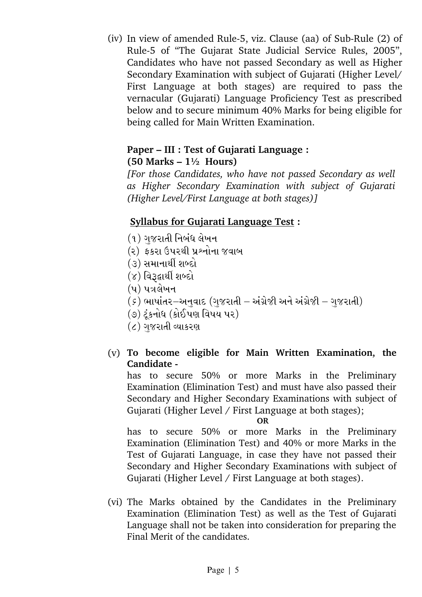(iv) In view of amended Rule-5, viz. Clause (aa) of Sub-Rule  $(2)$  of Rule5 of "The Gujarat State Judicial Service Rules, 2005", Candidates who have not passed Secondary as well as Higher Secondary Examination with subject of Gujarati (Higher Level/ First Language at both stages) are required to pass the vernacular (Gujarati) Language Proficiency Test as prescribed below and to secure minimum 40% Marks for being eligible for being called for Main Written Examination.

## **Paper – III : Test of Gujarati Language : (50 Marks – 1½ Hours)**

*[For those Candidates, who have not passed Secondary as well as Higher Secondary Examination with subject of Gujarati (Higher Level/First Language at both stages)]*

# **Syllabus for Gujarati Language Test :**

- (૧) ગજરાતી નિબંધ લેખન
- (૨) ફકરા ઉપરથી પ્રશ્નોના જવાબ
- (૩) સમાનાર્થી શબ્દો
- $(8)$  વિરૂદ્વાર્થી શબ્દો
- $(y)$  પત્રલેખન
- $\sigma(\varepsilon)$  ભાષાંતર $-$ અનુવાદ (ગુજરાતી અંગ્રેજી અને અંગ્રેજી ગુજરાતી)
- (૭) ટંકનોધ (કોઈપણ વિષય પર)
- $\epsilon$ ) ગજરાતી વ્યાકરણ
- (v) **To become eligible for Main Written Examination, the Candidate**

has to secure 50% or more Marks in the Preliminary Examination (Elimination Test) and must have also passed their Secondary and Higher Secondary Examinations with subject of Gujarati (Higher Level / First Language at both stages);

#### **OR**

has to secure 50% or more Marks in the Preliminary Examination (Elimination Test) and 40% or more Marks in the Test of Gujarati Language, in case they have not passed their Secondary and Higher Secondary Examinations with subject of Gujarati (Higher Level / First Language at both stages).

(vi) The Marks obtained by the Candidates in the Preliminary Examination (Elimination Test) as well as the Test of Gujarati Language shall not be taken into consideration for preparing the Final Merit of the candidates.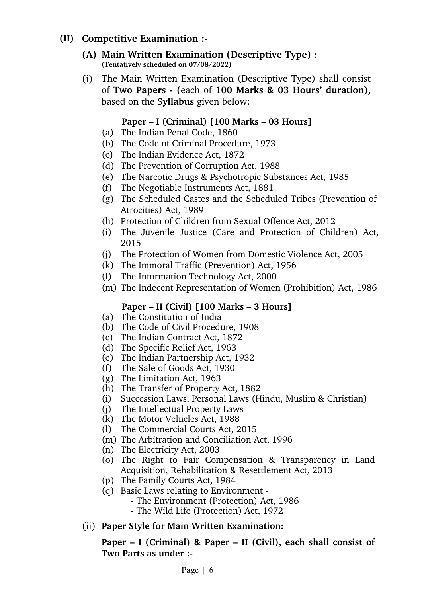## **(II) Competitive Examination :**

- **(A) Main Written Examination (Descriptive Type) : (Tentatively scheduled on 07/08/2022)**
- (i) The Main Written Examination (Descriptive Type) shall consist of **Two Papers (**each of **100 Marks & 03 Hours' duration),** based on the S**yllabus** given below:

## **Paper – I (Criminal) [100 Marks – 03 Hours]**

- (a) The Indian Penal Code, 1860
- (b) The Code of Criminal Procedure, 1973
- (c) The Indian Evidence Act, 1872
- (d) The Prevention of Corruption Act, 1988
- (e) The Narcotic Drugs & Psychotropic Substances Act, 1985
- (f) The Negotiable Instruments Act, 1881
- (g) The Scheduled Castes and the Scheduled Tribes (Prevention of Atrocities) Act, 1989
- (h) Protection of Children from Sexual Offence Act, 2012
- (i) The Juvenile Justice (Care and Protection of Children) Act, 2015
- (j) The Protection of Women from Domestic Violence Act, 2005
- (k) The Immoral Traffic (Prevention) Act, 1956
- (l) The Information Technology Act, 2000
- (m) The Indecent Representation of Women (Prohibition) Act, 1986

# **Paper – II (Civil) [100 Marks – 3 Hours]**

- (a) The Constitution of India
- (b) The Code of Civil Procedure, 1908
- (c) The Indian Contract Act, 1872
- (d) The Specific Relief Act, 1963
- (e) The Indian Partnership Act, 1932
- (f) The Sale of Goods Act, 1930
- (g) The Limitation Act, 1963
- (h) The Transfer of Property Act, 1882
- (i) Succession Laws, Personal Laws (Hindu, Muslim & Christian)
- (j) The Intellectual Property Laws
- (k) The Motor Vehicles Act, 1988
- (l) The Commercial Courts Act, 2015
- (m) The Arbitration and Conciliation Act, 1996
- (n) The Electricity Act, 2003
- (o) The Right to Fair Compensation & Transparency in Land Acquisition, Rehabilitation & Resettlement Act, 2013
- (p) The Family Courts Act, 1984
- (q) Basic Laws relating to Environment
	- The Environment (Protection) Act, 1986
	- The Wild Life (Protection) Act, 1972
- (ii) **Paper Style for Main Written Examination:**

**Paper – I (Criminal) & Paper – II (Civil), each shall consist of Two Parts as under :**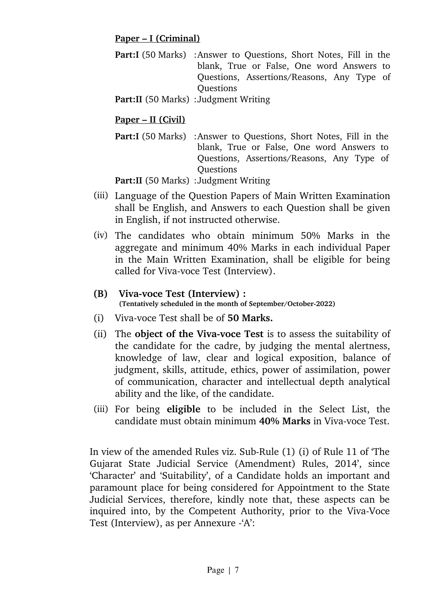#### **Paper – I (Criminal)**

**Part:I** (50 Marks) : Answer to Questions, Short Notes, Fill in the blank, True or False, One word Answers to Questions, Assertions/Reasons, Any Type of Questions

Part:II (50 Marks) : Judgment Writing

## **Paper – II (Civil)**

**Part:I** (50 Marks) : Answer to Questions, Short Notes, Fill in the blank, True or False, One word Answers to Questions, Assertions/Reasons, Any Type of **Ouestions** 

**Part:II** (50 Marks) : Judgment Writing

- (iii) Language of the Question Papers of Main Written Examination shall be English, and Answers to each Question shall be given in English, if not instructed otherwise.
- (iv) The candidates who obtain minimum 50% Marks in the aggregate and minimum 40% Marks in each individual Paper in the Main Written Examination, shall be eligible for being called for Viva-voce Test (Interview).

#### **(B)** Viva-voce Test (Interview) : **(Tentatively scheduled in the month of September/October2022)**

- (i) Viva-voce Test shall be of **50 Marks.**
- (ii) The **object of the Viva-voce Test** is to assess the suitability of the candidate for the cadre, by judging the mental alertness, knowledge of law, clear and logical exposition, balance of judgment, skills, attitude, ethics, power of assimilation, power of communication, character and intellectual depth analytical ability and the like, of the candidate.
- (iii) For being **eligible** to be included in the Select List, the candidate must obtain minimum 40% Marks in Viva-voce Test.

In view of the amended Rules viz. Sub-Rule (1) (i) of Rule 11 of 'The Gujarat State Judicial Service (Amendment) Rules, 2014', since 'Character' and 'Suitability', of a Candidate holds an important and paramount place for being considered for Appointment to the State Judicial Services, therefore, kindly note that, these aspects can be inquired into, by the Competent Authority, prior to the Viva-Voce Test (Interview), as per Annexure 'A':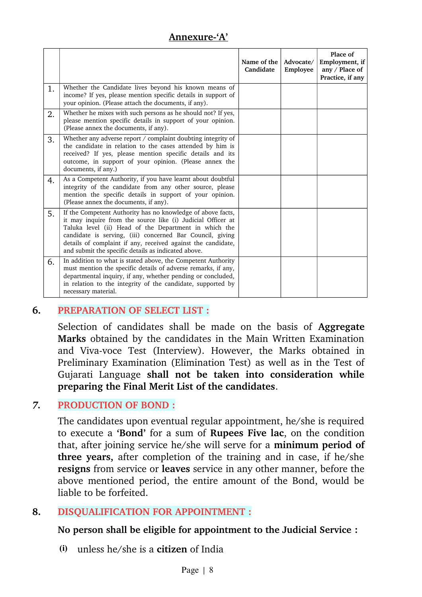# **Annexure'A'**

|    |                                                                                                                                                                                                                                                                                                                                                                         | Name of the<br>Candidate | Advocate/<br>Employee | Place of<br>Employment, if<br>any / Place of<br>Practice, if any |
|----|-------------------------------------------------------------------------------------------------------------------------------------------------------------------------------------------------------------------------------------------------------------------------------------------------------------------------------------------------------------------------|--------------------------|-----------------------|------------------------------------------------------------------|
| 1. | Whether the Candidate lives beyond his known means of<br>income? If yes, please mention specific details in support of<br>your opinion. (Please attach the documents, if any).                                                                                                                                                                                          |                          |                       |                                                                  |
| 2. | Whether he mixes with such persons as he should not? If yes,<br>please mention specific details in support of your opinion.<br>(Please annex the documents, if any).                                                                                                                                                                                                    |                          |                       |                                                                  |
| 3. | Whether any adverse report / complaint doubting integrity of<br>the candidate in relation to the cases attended by him is<br>received? If yes, please mention specific details and its<br>outcome, in support of your opinion. (Please annex the<br>documents, if any.)                                                                                                 |                          |                       |                                                                  |
| 4. | As a Competent Authority, if you have learnt about doubtful<br>integrity of the candidate from any other source, please<br>mention the specific details in support of your opinion.<br>(Please annex the documents, if any).                                                                                                                                            |                          |                       |                                                                  |
| 5. | If the Competent Authority has no knowledge of above facts,<br>it may inquire from the source like (i) Judicial Officer at<br>Taluka level (ii) Head of the Department in which the<br>candidate is serving, (iii) concerned Bar Council, giving<br>details of complaint if any, received against the candidate,<br>and submit the specific details as indicated above. |                          |                       |                                                                  |
| 6. | In addition to what is stated above, the Competent Authority<br>must mention the specific details of adverse remarks, if any,<br>departmental inquiry, if any, whether pending or concluded,<br>in relation to the integrity of the candidate, supported by<br>necessary material.                                                                                      |                          |                       |                                                                  |

#### **6. PREPARATION OF SELECT LIST :**

Selection of candidates shall be made on the basis of **Aggregate Marks** obtained by the candidates in the Main Written Examination and Viva-voce Test (Interview). However, the Marks obtained in Preliminary Examination (Elimination Test) as well as in the Test of Gujarati Language **shall not be taken into consideration while preparing the Final Merit List of the candidates**.

#### *7.* **PRODUCTION OF BOND :**

The candidates upon eventual regular appointment, he/she is required to execute a **'Bond'** for a sum of **Rupees Five lac**, on the condition that, after joining service he/she will serve for a **minimum period of three years,** after completion of the training and in case, if he/she **resigns** from service or **leaves** service in any other manner, before the above mentioned period, the entire amount of the Bond, would be liable to be forfeited.

#### **8. DISQUALIFICATION FOR APPOINTMENT :**

**No person shall be eligible for appointment to the Judicial Service :** 

**(i)** unless he/she is a **citizen** of India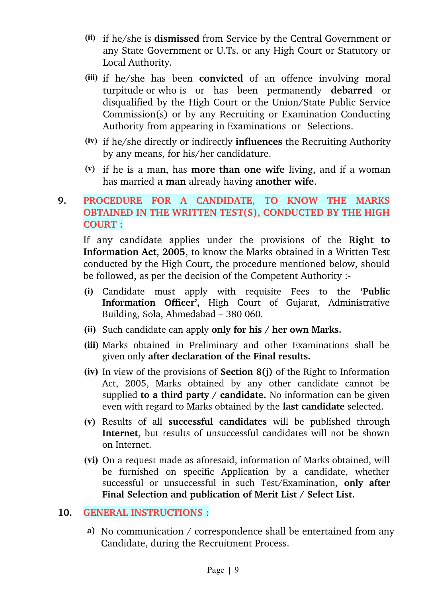- **(ii)** if he/she is **dismissed** from Service by the Central Government or any State Government or U.Ts. or any High Court or Statutory or Local Authority.
- **(iii)** if he/she has been **convicted** of an offence involving moral turpitude or who is or has been permanently **debarred** or disqualified by the High Court or the Union/State Public Service Commission(s) or by any Recruiting or Examination Conducting Authority from appearing in Examinations or Selections.
- **(iv)** if he/she directly or indirectly **influences** the Recruiting Authority by any means, for his/her candidature.
- **(v)** if he is a man, has **more than one wife** living, and if a woman has married **a man** already having **another wife**.

# **9. PROCEDURE FOR A CANDIDATE, TO KNOW THE MARKS OBTAINED IN THE WRITTEN TEST(S), CONDUCTED BY THE HIGH COURT :**

If any candidate applies under the provisions of the Right to **Information Act**, **2005**, to know the Marks obtained in a Written Test conducted by the High Court, the procedure mentioned below, should be followed, as per the decision of the Competent Authority :

- **(i)** Candidate must apply with requisite Fees to the **'Public** Information Officer', High Court of Gujarat, Administrative Building, Sola, Ahmedabad – 380 060.
- **(ii)** Such candidate can apply **only for his / her own Marks.**
- **(iii)** Marks obtained in Preliminary and other Examinations shall be given only **after declaration of the Final results.**
- **(iv)** In view of the provisions of **Section 8(j)** of the Right to Information Act, 2005, Marks obtained by any other candidate cannot be supplied **to a third party / candidate.** No information can be given even with regard to Marks obtained by the **last candidate** selected.
- **(v)** Results of all **successful candidates** will be published through **Internet**, but results of unsuccessful candidates will not be shown on Internet.
- **(vi)** On a request made as aforesaid, information of Marks obtained, will be furnished on specific Application by a candidate, whether successful or unsuccessful in such Test/Examination, only after **Final Selection and publication of Merit List / Select List.**

#### **10. GENERAL INSTRUCTIONS :**

**a)** No communication / correspondence shall be entertained from any Candidate, during the Recruitment Process.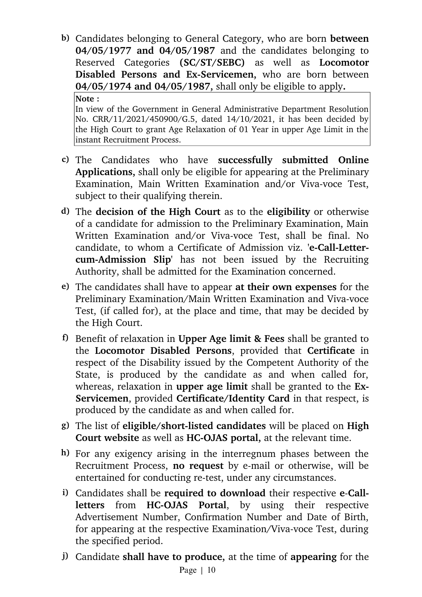**b)** Candidates belonging to General Category, who are born **between 04/05/1977 and 04/05/1987** and the candidates belonging to Reserved Categories **(SC/ST/SEBC)** as well as **Locomotor Disabled Persons and Ex-Servicemen,** who are born between **04/05/1974 and 04/05/1987,** shall only be eligible to apply**.**

#### **Note :**

In view of the Government in General Administrative Department Resolution No. CRR/11/2021/450900/G.5, dated 14/10/2021, it has been decided by the High Court to grant Age Relaxation of 01 Year in upper Age Limit in the instant Recruitment Process.

- **c)** The Candidates who have **successfully submitted Online Applications,** shall only be eligible for appearing at the Preliminary Examination, Main Written Examination and/or Viva-voce Test, subject to their qualifying therein.
- **d)** The **decision of the High Court** as to the **eligibility** or otherwise of a candidate for admission to the Preliminary Examination, Main Written Examination and/or Viva-voce Test, shall be final. No candidate, to whom a Certificate of Admission viz. 'e-Call-Letter**cum-Admission Slip'** has not been issued by the Recruiting Authority, shall be admitted for the Examination concerned.
- **e)** The candidates shall have to appear **at their own expenses** for the Preliminary Examination/Main Written Examination and Viva-voce Test, (if called for), at the place and time, that may be decided by the High Court.
- **f)** Benefit of relaxation in **Upper Age limit & Fees** shall be granted to the **Locomotor Disabled Persons**, provided that **Certificate** in respect of the Disability issued by the Competent Authority of the State, is produced by the candidate as and when called for, whereas, relaxation in **upper age limit** shall be granted to the **Ex-Servicemen**, provided **Certificate/Identity Card** in that respect, is produced by the candidate as and when called for.
- **g)** The list of **eligible/shortlisted candidates** will be placed on **High Court website** as well as **HC-OJAS** portal, at the relevant time.
- **h)** For any exigency arising in the interregnum phases between the Recruitment Process, no request by e-mail or otherwise, will be entertained for conducting re-test, under any circumstances.
- **i)** Candidates shall be **required to download** their respective **eCallletters** from **HC-OJAS** Portal, by using their respective Advertisement Number, Confirmation Number and Date of Birth, for appearing at the respective Examination/Viva-voce Test, during the specified period.
- **j)** Candidate **shall have to produce,** at the time of **appearing** for the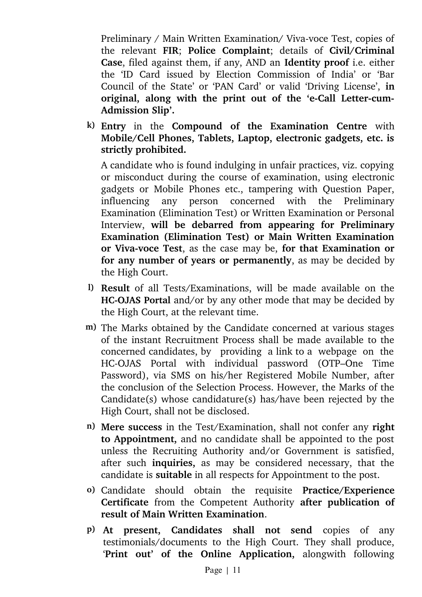Preliminary / Main Written Examination/ Viva-voce Test, copies of the relevant **FIR**; **Police Complaint**; details of **Civil/Criminal Case**, filed against them, if any, AND an **Identity proof** i.e. either the 'ID Card issued by Election Commission of India' or 'Bar Council of the State' or 'PAN Card' or valid 'Driving License', **in** original, along with the print out of the 'e-Call Letter-cum-**Admission Slip'.**

**k) Entry** in the **Compound of the Examination Centre** with **Mobile/Cell Phones, Tablets, Laptop, electronic gadgets, etc. is strictly prohibited.**

A candidate who is found indulging in unfair practices, viz. copying or misconduct during the course of examination, using electronic gadgets or Mobile Phones etc., tampering with Question Paper, influencing any person concerned with the Preliminary Examination (Elimination Test) or Written Examination or Personal Interview, **will be debarred from appearing for Preliminary Examination (Elimination Test) or Main Written Examination or Viva-voce Test**, as the case may be, for that Examination or **for any number of years or permanently**, as may be decided by the High Court.

- **l) Result** of all Tests/Examinations, will be made available on the **HC-OJAS Portal** and/or by any other mode that may be decided by the High Court, at the relevant time.
- **m)** The Marks obtained by the Candidate concerned at various stages of the instant Recruitment Process shall be made available to the concerned candidates, by providing a link to a webpage on the HC-OJAS Portal with individual password (OTP–One Time Password), via SMS on his/her Registered Mobile Number, after the conclusion of the Selection Process. However, the Marks of the Candidate(s) whose candidature(s) has/have been rejected by the High Court, shall not be disclosed.
- **n) Mere success** in the Test/Examination, shall not confer any **right to Appointment,** and no candidate shall be appointed to the post unless the Recruiting Authority and/or Government is satisfied, after such **inquiries,** as may be considered necessary, that the candidate is **suitable** in all respects for Appointment to the post.
- **o)** Candidate should obtain the requisite **Practice/Experience Certificate** from the Competent Authority **after publication of result of Main Written Examination**.
- **p) At present, Candidates shall not send** copies of any testimonials/documents to the High Court. They shall produce, '**Print out' of the Online Application,** alongwith following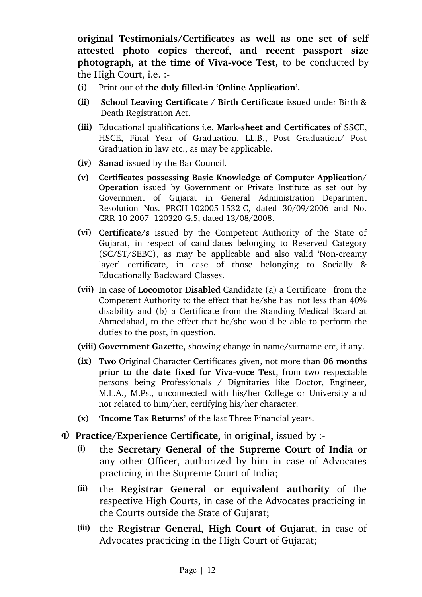**original Testimonials/Certificates as well as one set of self attested photo copies thereof, and recent passport size photograph, at the time of Viva-voce Test,** to be conducted by the High Court, i.e. :

- **(i)** Print out of the duly filled-in 'Online Application'.
- **(ii) School Leaving Certificate / Birth Certificate** issued under Birth & Death Registration Act.
- **(iii)** Educational qualifications i.e. **Marksheet and Certificates** of SSCE, HSCE, Final Year of Graduation, LL.B., Post Graduation/ Post Graduation in law etc., as may be applicable.
- **(iv) Sanad** issued by the Bar Council.
- **(v) Certificates possessing Basic Knowledge of Computer Application/ Operation** issued by Government or Private Institute as set out by Government of Gujarat in General Administration Department Resolution Nos. PRCH-102005-1532-C, dated 30/09/2006 and No. CRR-10-2007-120320-G.5, dated 13/08/2008.
- **(vi) Certificate/s** issued by the Competent Authority of the State of Gujarat, in respect of candidates belonging to Reserved Category (SC/ST/SEBC), as may be applicable and also valid 'Noncreamy layer' certificate, in case of those belonging to Socially & Educationally Backward Classes.
- **(vii)** In case of **Locomotor Disabled** Candidate (a) a Certificate from the Competent Authority to the effect that he/she has not less than 40% disability and (b) a Certificate from the Standing Medical Board at Ahmedabad, to the effect that he/she would be able to perform the duties to the post, in question.
- **(viii) Government Gazette,** showing change in name/surname etc, if any.
- **(ix) Two** Original Character Certificates given, not more than **06 months prior to the date fixed for Viva-voce Test**, from two respectable persons being Professionals / Dignitaries like Doctor, Engineer, M.L.A., M.Ps., unconnected with his/her College or University and not related to him/her, certifying his/her character.
- **(x) 'Income Tax Returns'** of the last Three Financial years.
- **q) Practice/Experience Certificate,** in **original,** issued by :
	- **(i)** the **Secretary General of the Supreme Court of India** or any other Officer, authorized by him in case of Advocates practicing in the Supreme Court of India;
	- **(ii)** the **Registrar General or equivalent authority** of the respective High Courts, in case of the Advocates practicing in the Courts outside the State of Gujarat;
	- **(iii)** the **Registrar General, High Court of Gujarat**, in case of Advocates practicing in the High Court of Gujarat;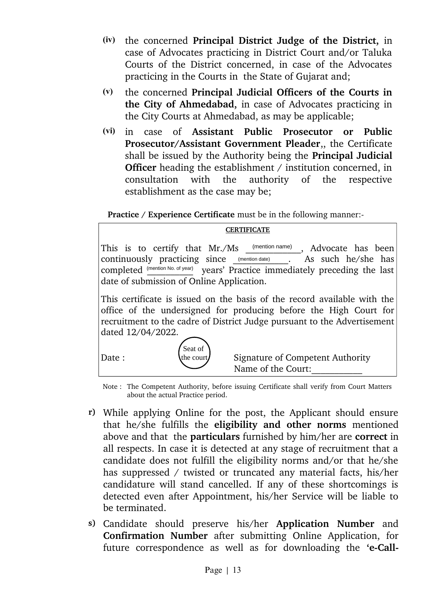- **(iv)** the concerned **Principal District Judge of the District,** in case of Advocates practicing in District Court and/or Taluka Courts of the District concerned, in case of the Advocates practicing in the Courts in the State of Gujarat and;
- **(v)** the concerned **Principal Judicial Officers of the Courts in the City of Ahmedabad,** in case of Advocates practicing in the City Courts at Ahmedabad, as may be applicable;
- **(vi)** in case of **Assistant Public Prosecutor or Public Prosecutor/Assistant Government Pleader**,, the Certificate shall be issued by the Authority being the **Principal Judicial Officer** heading the establishment / institution concerned, in consultation with the authority of the respective establishment as the case may be;

**Practice / Experience Certificate** must be in the following manner:

#### **CERTIFICATE**

This is to certify that Mr./Ms (mention name), Advocate has been continuously practicing since (mention date) . As such he/she has completed *(mention No. of year)* years' Practice immediately preceding the last date of submission of Online Application. (mention name)

This certificate is issued on the basis of the record available with the office of the undersigned for producing before the High Court for recruitment to the cadre of District Judge pursuant to the Advertisement dated 12/04/2022.



Date : (the court) Signature of Competent Authority Name of the Court:

Note : The Competent Authority, before issuing Certificate shall verify from Court Matters about the actual Practice period.

- **r)** While applying Online for the post, the Applicant should ensure that he/she fulfills the **eligibility and other norms** mentioned above and that the **particulars** furnished by him/her are **correct** in all respects. In case it is detected at any stage of recruitment that a candidate does not fulfill the eligibility norms and/or that he/she has suppressed / twisted or truncated any material facts, his/her candidature will stand cancelled. If any of these shortcomings is detected even after Appointment, his/her Service will be liable to be terminated.
- **s)** Candidate should preserve his/her **Application Number** and **Confirmation Number** after submitting Online Application, for future correspondence as well as for downloading the 'e-Call-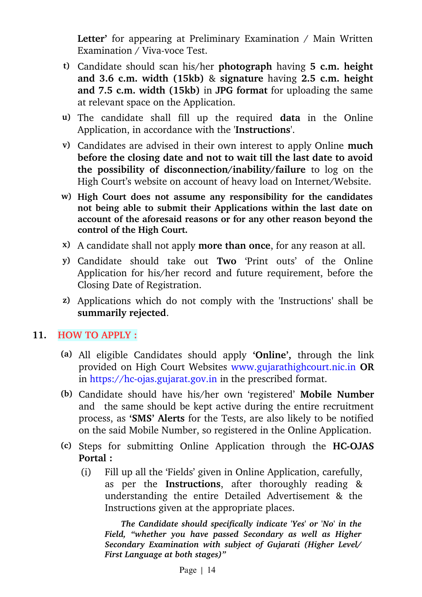**Letter'** for appearing at Preliminary Examination / Main Written Examination / Viva-voce Test.

- **t)** Candidate should scan his/her **photograph** having **5 c.m. height and 3.6 c.m. width (15kb)** & **signature** having **2.5 c.m. height and 7.5 c.m. width (15kb)** in **JPG format** for uploading the same at relevant space on the Application.
- **u)** The candidate shall fill up the required **data** in the Online Application, in accordance with the '**Instructions**'.
- **v)** Candidates are advised in their own interest to apply Online **much before the closing date and not to wait till the last date to avoid the possibility of disconnection/inability/failure** to log on the High Court's website on account of heavy load on Internet/Website.
- **w) High Court does not assume any responsibility for the candidates not being able to submit their Applications within the last date on account of the aforesaid reasons or for any other reason beyond the control of the High Court.**
- **x)** A candidate shall not apply **more than once**, for any reason at all.
- **y)** Candidate should take out **Two** 'Print outs' of the Online Application for his/her record and future requirement, before the Closing Date of Registration.
- **z)** Applications which do not comply with the 'Instructions**'** shall be **summarily rejected**.

# **11. HOW TO APPLY :**

- **(a)** All eligible Candidates should apply **'Online',** through the link provided on High Court Websites www.gujarathighcourt.nic.in **OR** in https://hc-ojas.gujarat.gov.in in the prescribed format.
- **(b)** Candidate should have his/her own 'registered' **Mobile Number** and the same should be kept active during the entire recruitment process, as **'SMS' Alerts** for the Tests, are also likely to be notified on the said Mobile Number, so registered in the Online Application.
- **(c)** Steps for submitting Online Application through the **HCOJAS Portal :**
	- (i) Fill up all the 'Fields' given in Online Application, carefully, as per the **Instructions**, after thoroughly reading & understanding the entire Detailed Advertisement & the Instructions given at the appropriate places.

 *The Candidate should specifically indicate 'Yes' or 'No' in the Field, "whether you have passed Secondary as well as Higher Secondary Examination with subject of Gujarati (Higher Level/ First Language at both stages)"*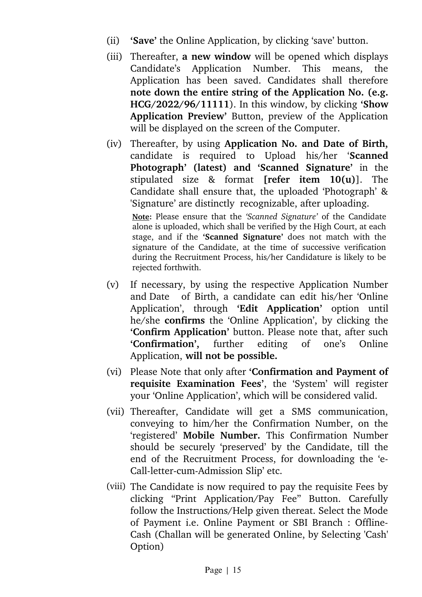- (ii) **'Save'** the Online Application, by clicking 'save' button.
- (iii) Thereafter, **a new window** will be opened which displays Candidate's Application Number. This means, the Application has been saved. Candidates shall therefore **note down the entire string of the Application No. (e.g. HCG/2022/96/11111**). In this window, by clicking **'Show** Application Preview' Button, preview of the Application will be displayed on the screen of the Computer.
- (iv) Thereafter, by using **Application No. and Date of Birth,** candidate is required to Upload his/her '**Scanned Photograph' (latest) and 'Scanned Signature'** in the stipulated size & format **[refer item 10(u)**]. The Candidate shall ensure that, the uploaded 'Photograph' & 'Signature' are distinctly recognizable, after uploading.

**Note:** Please ensure that the *'Scanned Signature'* of the Candidate alone is uploaded, which shall be verified by the High Court, at each stage, and if the **'Scanned Signature'** does not match with the signature of the Candidate, at the time of successive verification during the Recruitment Process, his/her Candidature is likely to be rejected forthwith.

- (v) If necessary, by using the respective Application Number and Date of Birth, a candidate can edit his/her 'Online Application', through 'Edit Application' option until he/she **confirms** the 'Online Application', by clicking the **'Confirm Application'** button. Please note that, after such **'Confirmation',** further editing of one's Online Application, **will not be possible.**
- (vi) Please Note that only after **'Confirmation and Payment of requisite Examination Fees'**, the 'System' will register your 'Online Application', which will be considered valid.
- (vii) Thereafter, Candidate will get a SMS communication, conveying to him/her the Confirmation Number, on the 'registered' Mobile Number. This Confirmation Number should be securely 'preserved' by the Candidate, till the end of the Recruitment Process, for downloading the 'e-Call-letter-cum-Admission Slip' etc.
- (viii) The Candidate is now required to pay the requisite Fees by clicking "Print Application/Pay Fee" Button. Carefully follow the Instructions/Help given thereat. Select the Mode of Payment i.e. Online Payment or SBI Branch : Offline-Cash (Challan will be generated Online, by Selecting 'Cash' Option)